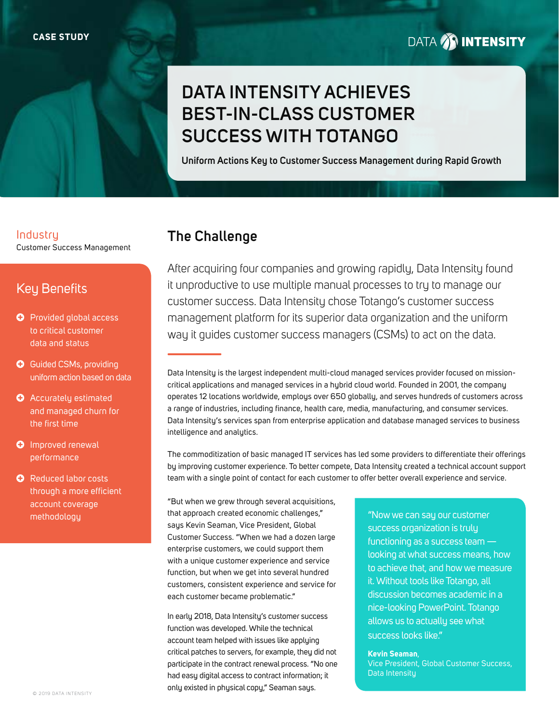# **DATA AN INTENSITY**

# **DATA INTENSITY ACHIEVES BEST-IN-CLASS CUSTOMER SUCCESS WITH TOTANGO**

**Uniform Actions Key to Customer Success Management during Rapid Growth**

## Industry **The Challenge** Customer Success Management

## Key Benefits

- **O** Provided global access to critical customer data and status
- **O** Guided CSMs, providing uniform action based on data
- **O** Accurately estimated and managed churn for the first time
- **O** Improved renewal performance
- **O** Reduced labor costs through a more efficient account coverage methodology

After acquiring four companies and growing rapidly, Data Intensity found it unproductive to use multiple manual processes to try to manage our customer success. Data Intensity chose Totango's customer success management platform for its superior data organization and the uniform way it guides customer success managers (CSMs) to act on the data.

Data Intensity is the largest independent multi-cloud managed services provider focused on missioncritical applications and managed services in a hybrid cloud world. Founded in 2001, the company operates 12 locations worldwide, employs over 650 globally, and serves hundreds of customers across a range of industries, including finance, health care, media, manufacturing, and consumer services. Data Intensity's services span from enterprise application and database managed services to business intelligence and analytics.

The commoditization of basic managed IT services has led some providers to differentiate their offerings by improving customer experience. To better compete, Data Intensity created a technical account support team with a single point of contact for each customer to offer better overall experience and service.

"But when we grew through several acquisitions, that approach created economic challenges," says Kevin Seaman, Vice President, Global Customer Success. "When we had a dozen large enterprise customers, we could support them with a unique customer experience and service function, but when we get into several hundred customers, consistent experience and service for each customer became problematic."

In early 2018, Data Intensity's customer success function was developed. While the technical account team helped with issues like applying critical patches to servers, for example, they did not participate in the contract renewal process. "No one had easy digital access to contract information; it only existed in physical copy," Seaman says.

"Now we can say our customer success organization is truly functioning as a success team looking at what success means, how to achieve that, and how we measure it. Without tools like Totango, all discussion becomes academic in a nice-looking PowerPoint. Totango allows us to actually see what success looks like."

**Kevin Seaman**, Vice President, Global Customer Success, Data Intensity